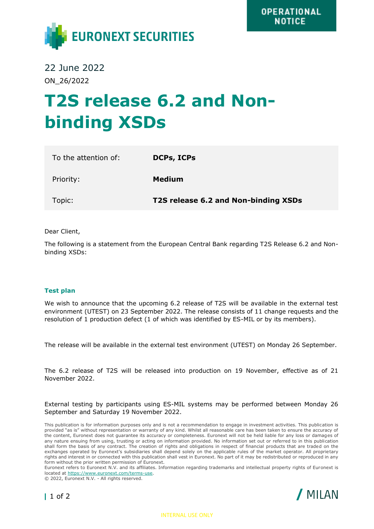

22 June 2022 ON\_26/2022

# **T2S release 6.2 and Nonbinding XSDs**

| To the attention of: | <b>DCPs, ICPs</b>                    |
|----------------------|--------------------------------------|
| Priority:            | Medium                               |
| Topic:               | T2S release 6.2 and Non-binding XSDs |

Dear Client,

The following is a statement from the European Central Bank regarding T2S Release 6.2 and Nonbinding XSDs:

## **Test plan**

We wish to announce that the upcoming 6.2 release of T2S will be available in the external test environment (UTEST) on 23 September 2022. The release consists of 11 change requests and the resolution of 1 production defect (1 of which was identified by ES-MIL or by its members).

The release will be available in the external test environment (UTEST) on Monday 26 September.

The 6.2 release of T2S will be released into production on 19 November, effective as of 21 November 2022.

External testing by participants using ES-MIL systems may be performed between Monday 26 September and Saturday 19 November 2022.

This publication is for information purposes only and is not a recommendation to engage in investment activities. This publication is provided "as is" without representation or warranty of any kind. Whilst all reasonable care has been taken to ensure the accuracy of the content, Euronext does not guarantee its accuracy or completeness. Euronext will not be held liable for any loss or damages of any nature ensuing from using, trusting or acting on information provided. No information set out or referred to in this publication shall form the basis of any contract. The creation of rights and obligations in respect of financial products that are traded on the exchanges operated by Euronext's subsidiaries shall depend solely on the applicable rules of the market operator. All proprietary rights and interest in or connected with this publication shall vest in Euronext. No part of it may be redistributed or reproduced in any form without the prior written permission of Euronext.

Euronext refers to Euronext N.V. and its affiliates. Information regarding trademarks and intellectual property rights of Euronext is located at [https://www.euronext.com/terms-use.](https://www.euronext.com/terms-use)

© 2022, Euronext N.V. - All rights reserved.